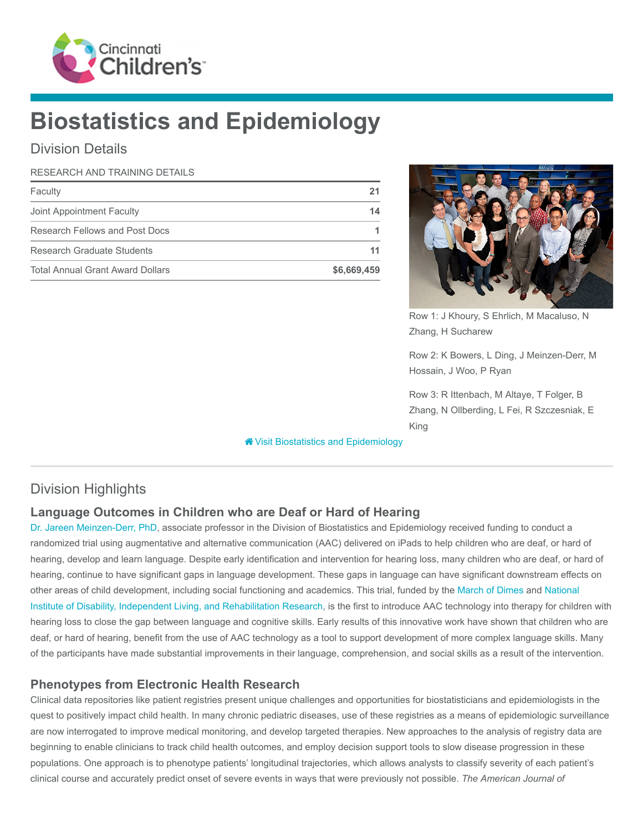

# Biostatistics and Epidemiology

# Division Details

#### RESEARCH AND TRAINING DETAILS

| Faculty                                 |             |
|-----------------------------------------|-------------|
| Joint Appointment Faculty               | 14          |
| Research Fellows and Post Docs          |             |
| Research Graduate Students              |             |
| <b>Total Annual Grant Award Dollars</b> | \$6,669,459 |



Row 1: J Khoury, S Ehrlich, M Macaluso, N Zhang, H Sucharew

Row 2: K Bowers, L Ding, J Meinzen-Derr, M Hossain, J Woo, P Ryan

Row 3: R Ittenbach, M Altaye, T Folger, B Zhang, N Ollberding, L Fei, R Szczesniak, E King

**\*** [Visit Biostatistics and Epidemiology](https://www.cincinnatichildrens.org/research/divisions/b/biostatistics)

# Division Highlights

## Language Outcomes in Children who are Deaf or Hard of Hearing

[Dr. Jareen Meinzen-Derr, PhD,](https://www.cincinnatichildrens.org/bio/m/jareen-meinzen-derr) associate professor in the Division of Biostatistics and Epidemiology received funding to conduct a randomized trial using augmentative and alternative communication (AAC) delivered on iPads to help children who are deaf, or hard of hearing, develop and learn language. Despite early identification and intervention for hearing loss, many children who are deaf, or hard of hearing, continue to have significant gaps in language development. These gaps in language can have significant downstream effects on other areas of child development, including social functioning and academics. This trial, funded by the [March of Dimes](http://www.marchofdimes.org/) and National [Institute of Disability, Independent Living, and Rehabilitation Research, is the first to introduce AAC technology into therapy for childr](https://www.acl.gov/about-acl/about-national-institute-disability-independent-living-and-rehabilitation-research)en with hearing loss to close the gap between language and cognitive skills. Early results of this innovative work have shown that children who are deaf, or hard of hearing, benefit from the use of AAC technology as a tool to support development of more complex language skills. Many of the participants have made substantial improvements in their language, comprehension, and social skills as a result of the intervention.

#### Phenotypes from Electronic Health Research

Clinical data repositories like patient registries present unique challenges and opportunities for biostatisticians and epidemiologists in the quest to positively impact child health. In many chronic pediatric diseases, use of these registries as a means of epidemiologic surveillance are now interrogated to improve medical monitoring, and develop targeted therapies. New approaches to the analysis of registry data are beginning to enable clinicians to track child health outcomes, and employ decision support tools to slow disease progression in these populations. One approach is to phenotype patients' longitudinal trajectories, which allows analysts to classify severity of each patient's clinical course and accurately predict onset of severe events in ways that were previously not possible. The American Journal of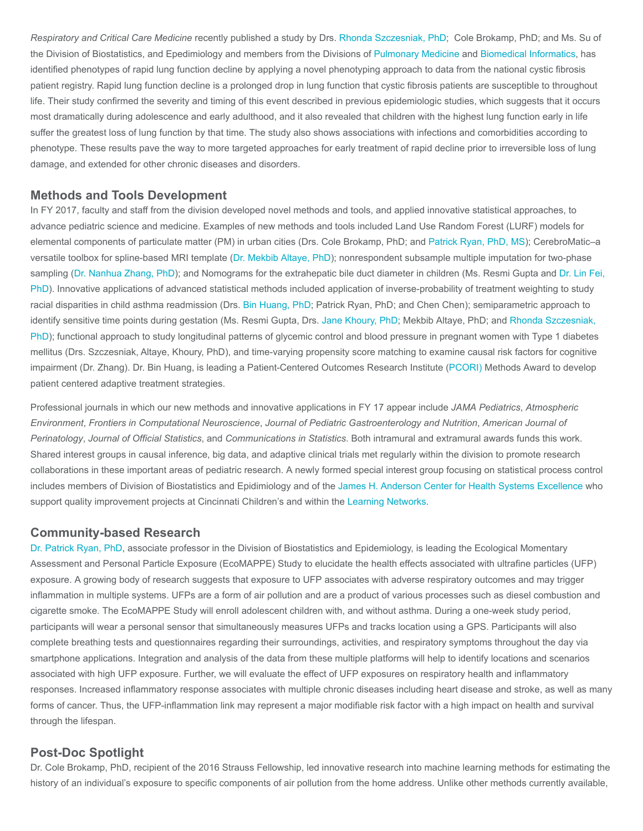Respiratory and Critical Care Medicine recently published a study by Drs. [Rhonda Szczesniak, PhD](https://www.cincinnatichildrens.org/bio/s/rhonda-szczesniak); Cole Brokamp, PhD; and Ms. Su of the Division of Biostatistics, and Epedimiology and members from the Divisions of [Pulmonary Medicine](https://www.cincinnatichildrens.org/research/divisions/p/pulmonary) and [Biomedical Informatics](https://www.cincinnatichildrens.org/research/divisions/b/bmi), has identified phenotypes of rapid lung function decline by applying a novel phenotyping approach to data from the national cystic fibrosis patient registry. Rapid lung function decline is a prolonged drop in lung function that cystic fibrosis patients are susceptible to throughout life. Their study confirmed the severity and timing of this event described in previous epidemiologic studies, which suggests that it occurs most dramatically during adolescence and early adulthood, and it also revealed that children with the highest lung function early in life suffer the greatest loss of lung function by that time. The study also shows associations with infections and comorbidities according to phenotype. These results pave the way to more targeted approaches for early treatment of rapid decline prior to irreversible loss of lung damage, and extended for other chronic diseases and disorders.

#### Methods and Tools Development

In FY 2017, faculty and staff from the division developed novel methods and tools, and applied innovative statistical approaches, to advance pediatric science and medicine. Examples of new methods and tools included Land Use Random Forest (LURF) models for elemental components of particulate matter (PM) in urban cities (Drs. Cole Brokamp, PhD; and [Patrick Ryan, PhD, MS](https://www.cincinnatichildrens.org/bio/r/patrick-ryan)); CerebroMatic–a versatile toolbox for spline-based MRI template ([Dr. Mekbib Altaye, PhD](https://www.cincinnatichildrens.org/bio/a/mekbib-altaye)); nonrespondent subsample multiple imputation for two-phase [sampling \(](https://www.cincinnatichildrens.org/bio/f/lin-fei)[Dr. Nanhua Zhang, Ph](https://www.cincinnatichildrens.org/bio/z/nanhua-zhang)[D\); and Nomograms for the extrahepatic bile duct diameter in children \(Ms. Resmi Gupta and Dr. Lin Fei,](https://www.cincinnatichildrens.org/bio/f/lin-fei) PhD). Innovative applications of advanced statistical methods included application of inverse-probability of treatment weighting to study racial disparities in child asthma readmission (Drs. [Bin Huang, PhD](https://www.cincinnatichildrens.org/bio/h/bin-huang); Patrick Ryan, PhD; and Chen Chen); semiparametric approach to identify sensitive time points during gestation (Ms. Resmi Gupta, Drs. [Jane Khoury, PhD;](https://www.cincinnatichildrens.org/bio/k/jane-khoury) Mekbib Altaye, PhD; and Rhonda Szczesniak, [PhD\); functional approach to study longitudinal patterns of glycemic control and blood pressure in pregnant women with Type 1 diabetes](https://www.cincinnatichildrens.org/bio/s/rhonda-szczesniak) mellitus (Drs. Szczesniak, Altaye, Khoury, PhD), and time-varying propensity score matching to examine causal risk factors for cognitive impairment (Dr. Zhang). Dr. Bin Huang, is leading a Patient-Centered Outcomes Research Institute ([PCORI\)](https://www.pcori.org/) Methods Award to develop patient centered adaptive treatment strategies.

Professional journals in which our new methods and innovative applications in FY 17 appear include JAMA Pediatrics, Atmospheric Environment, Frontiers in Computational Neuroscience, Journal of Pediatric Gastroenterology and Nutrition, American Journal of Perinatology, Journal of Official Statistics, and Communications in Statistics. Both intramural and extramural awards funds this work. Shared interest groups in causal inference, big data, and adaptive clinical trials met regularly within the division to promote research collaborations in these important areas of pediatric research. A newly formed special interest group focusing on statistical process control includes members of Division of Biostatistics and Epidimiology and of the [James H. Anderson Center for Health Systems Excellence](https://www.cincinnatichildrens.org/research/divisions/j/anderson-center) who support quality improvement projects at Cincinnati Children's and within the [Learning Networks](https://www.cincinnatichildrens.org/service/j/anderson-center/learning-networks).

#### Community-based Research

[Dr. Patrick Ryan, PhD,](https://www.cincinnatichildrens.org/bio/r/patrick-ryan) associate professor in the Division of Biostatistics and Epidemiology, is leading the Ecological Momentary Assessment and Personal Particle Exposure (EcoMAPPE) Study to elucidate the health effects associated with ultrafine particles (UFP) exposure. A growing body of research suggests that exposure to UFP associates with adverse respiratory outcomes and may trigger inflammation in multiple systems. UFPs are a form of air pollution and are a product of various processes such as diesel combustion and cigarette smoke. The EcoMAPPE Study will enroll adolescent children with, and without asthma. During a one-week study period, participants will wear a personal sensor that simultaneously measures UFPs and tracks location using a GPS. Participants will also complete breathing tests and questionnaires regarding their surroundings, activities, and respiratory symptoms throughout the day via smartphone applications. Integration and analysis of the data from these multiple platforms will help to identify locations and scenarios associated with high UFP exposure. Further, we will evaluate the effect of UFP exposures on respiratory health and inflammatory responses. Increased inflammatory response associates with multiple chronic diseases including heart disease and stroke, as well as many forms of cancer. Thus, the UFP-inflammation link may represent a major modifiable risk factor with a high impact on health and survival through the lifespan.

#### Post-Doc Spotlight

Dr. Cole Brokamp, PhD, recipient of the 2016 Strauss Fellowship, led innovative research into machine learning methods for estimating the history of an individual's exposure to specific components of air pollution from the home address. Unlike other methods currently available,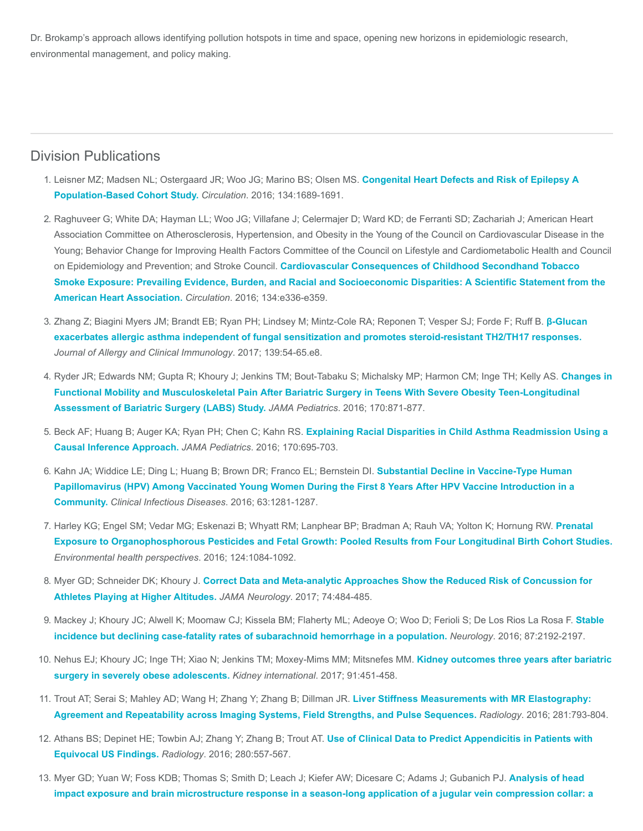Dr. Brokamp's approach allows identifying pollution hotspots in time and space, opening new horizons in epidemiologic research, environmental management, and policy making.

## Division Publications

- 1. [Leisner MZ; Madsen NL; Ostergaard JR; Woo JG; Marino BS; Olsen MS.](https://www.ncbi.nlm.nih.gov/pubmed/27881510) Congenital Heart Defects and Risk of Epilepsy A Population-Based Cohort Study. Circulation. 2016; 134:1689-1691.
- 2. Raghuveer G; White DA; Hayman LL; Woo JG; Villafane J; Celermajer D; Ward KD; de Ferranti SD; Zachariah J; American Heart Association Committee on Atherosclerosis, Hypertension, and Obesity in the Young of the Council on Cardiovascular Disease in the Young; Behavior Change for Improving Health Factors Committee of the Council on Lifestyle and Cardiometabolic Health and Council on Epidemiology and Prevention; and Stroke Council. Cardiovascular Consequences of Childhood Secondhand Tobacco [Smoke Exposure: Prevailing Evidence, Burden, and Racial and Socioeconomic Disparities: A Scientific Statement from the](https://www.ncbi.nlm.nih.gov/pubmed/27619923) American Heart Association. Circulation. 2016; 134:e336-e359.
- 3. [Zhang Z; Biagini Myers JM; Brandt EB; Ryan PH; Lindsey M; Mintz-Cole RA; Reponen T; Vesper SJ; Forde F; Ruff B.](https://www.ncbi.nlm.nih.gov/pubmed/27221135) β-Glucan exacerbates allergic asthma independent of fungal sensitization and promotes steroid-resistant TH2/TH17 responses. Journal of Allergy and Clinical Immunology. 2017; 139:54-65.e8.
- 4. [Ryder JR; Edwards NM; Gupta R; Khoury J; Jenkins TM; Bout-Tabaku S; Michalsky MP; Harmon CM; Inge TH; Kelly AS.](https://www.ncbi.nlm.nih.gov/pubmed/27429076) Changes in Functional Mobility and Musculoskeletal Pain After Bariatric Surgery in Teens With Severe Obesity Teen-Longitudinal Assessment of Bariatric Surgery (LABS) Study. JAMA Pediatrics. 2016; 170:871-877.
- 5. Beck AF; Huang B; Auger KA; Ryan PH; Chen C; Kahn RS. [Explaining Racial Disparities in Child Asthma Readmission Using a](https://www.ncbi.nlm.nih.gov/pubmed/27182793) Causal Inference Approach. JAMA Pediatrics. 2016; 170:695-703.
- 6. Kahn JA; Widdice LE; Ding L; Huang B; Brown DR; Franco EL; Bernstein Dl. Substantial Decline in Vaccine-Type Human [Papillomavirus \(HPV\) Among Vaccinated Young Women During the First 8 Years After HPV Vaccine Introduction in a](https://www.ncbi.nlm.nih.gov/pubmed/27655996) Community. Clinical Infectious Diseases. 2016; 63:1281-1287.
- 7. [Harley KG; Engel SM; Vedar MG; Eskenazi B; Whyatt RM; Lanphear BP; Bradman A; Rauh VA; Yolton K; Hornung RW.](https://www.ncbi.nlm.nih.gov/pubmed/26685281) Prenatal Exposure to Organophosphorous Pesticides and Fetal Growth: Pooled Results from Four Longitudinal Birth Cohort Studies. Environmental health perspectives. 2016; 124:1084-1092.
- 8. Myer GD; Schneider DK; Khoury J. [Correct Data and Meta-analytic Approaches Show the Reduced Risk of Concussion for](https://www.ncbi.nlm.nih.gov/pubmed/28241162) Athletes Playing at Higher Altitudes. JAMA Neurology. 2017; 74:484-485.
- 9. [Mackey J; Khoury JC; Alwell K; Moomaw CJ; Kissela BM; Flaherty ML; Adeoye O; Woo D; Ferioli S; De Los Rios La Rosa F.](https://www.ncbi.nlm.nih.gov/pubmed/27770074) Stable incidence but declining case-fatality rates of subarachnoid hemorrhage in a population. Neurology. 2016; 87:2192-2197.
- 10. [Nehus EJ; Khoury JC; Inge TH; Xiao N; Jenkins TM; Moxey-Mims MM; Mitsnefes MM.](https://www.ncbi.nlm.nih.gov/pubmed/27914704) Kidney outcomes three years after bariatric surgery in severely obese adolescents. Kidney international. 2017; 91:451-458.
- 11. Trout AT; Serai S; Mahley AD; Wang H; Zhang Y; Zhang B; Dillman JR. Liver Stiffness Measurements with MR Elastography: [Agreement and Repeatability across Imaging Systems, Field Strengths, and Pulse Sequences.](https://www.ncbi.nlm.nih.gov/pubmed/27285061) Radiology. 2016; 281:793-804.
- 12. [Athans BS; Depinet HE; Towbin AJ; Zhang Y; Zhang B; Trout AT.](https://www.ncbi.nlm.nih.gov/pubmed/26878226) Use of Clinical Data to Predict Appendicitis in Patients with Equivocal US Findings. Radiology. 2016; 280:557-567.
- 13. [Myer GD; Yuan W; Foss KDB; Thomas S; Smith D; Leach J; Kiefer AW; Dicesare C; Adams J; Gubanich PJ.](https://www.ncbi.nlm.nih.gov/pubmed/27307271) Analysis of head impact exposure and brain microstructure response in a season-long application of a jugular vein compression collar: a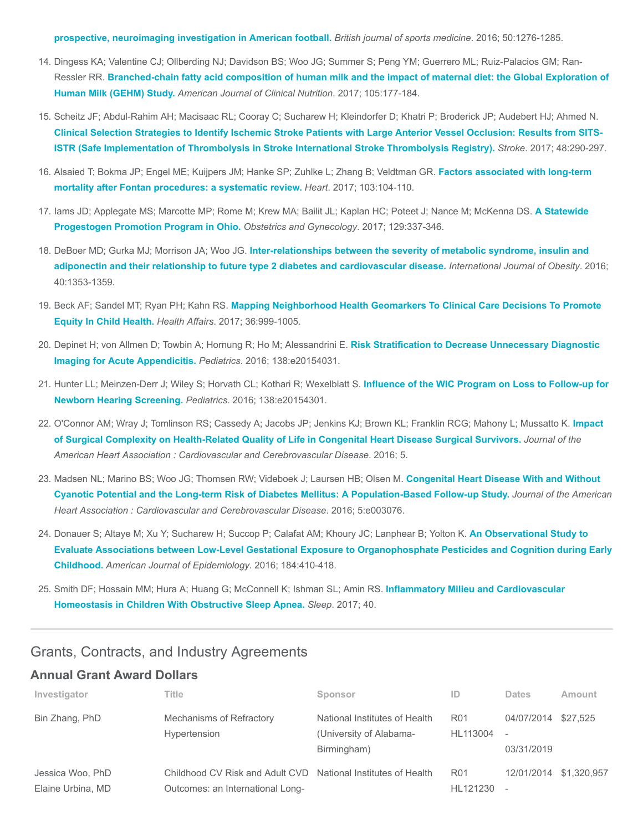[prospective, neuroimaging investigation in American football.](https://www.ncbi.nlm.nih.gov/pubmed/27307271) British journal of sports medicine. 2016; 50:1276-1285.

- 14. Dingess KA; Valentine CJ; Ollberding NJ; Davidson BS; Woo JG; Summer S; Peng YM; Guerrero ML; Ruiz-Palacios GM; Ran-Ressler RR. [Branched-chain fatty acid composition of human milk and the impact of maternal diet: the Global Exploration of](https://www.ncbi.nlm.nih.gov/pubmed/27903517) Human Milk (GEHM) Study. American Journal of Clinical Nutrition. 2017; 105:177-184.
- 15. Scheitz JF; Abdul-Rahim AH; Macisaac RL; Cooray C; Sucharew H; Kleindorfer D; Khatri P; Broderick JP; Audebert HJ; Ahmed N. [Clinical Selection Strategies to Identify Ischemic Stroke Patients with Large Anterior Vessel Occlusion: Results from SITS-](https://www.ncbi.nlm.nih.gov/pubmed/28087804)ISTR (Safe Implementation of Thrombolysis in Stroke International Stroke Thrombolysis Registry). Stroke. 2017; 48:290-297.
- 16. [Alsaied T; Bokma JP; Engel ME; Kuijpers JM; Hanke SP; Zuhlke L; Zhang B; Veldtman GR.](https://www.ncbi.nlm.nih.gov/pubmed/28057809) Factors associated with long-term mortality after Fontan procedures: a systematic review. Heart. 2017; 103:104-110.
- 17. [Iams JD; Applegate MS; Marcotte MP; Rome M; Krew MA; Bailit JL; Kaplan HC; Poteet J; Nance M; McKenna DS.](https://www.ncbi.nlm.nih.gov/pubmed/28079774) A Statewide Progestogen Promotion Program in Ohio. Obstetrics and Gynecology. 2017; 129:337-346.
- 18. DeBoer MD; Gurka MJ; Morrison JA; Woo JG. Inter-relationships between the severity of metabolic syndrome, insulin and [adiponectin and their relationship to future type 2 diabetes and cardiovascular disease.](https://www.ncbi.nlm.nih.gov/pubmed/27133621) International Journal of Obesity. 2016; 40:1353-1359.
- 19. Beck AF; Sandel MT; Ryan PH; Kahn RS. [Mapping Neighborhood Health Geomarkers To Clinical Care Decisions To Promote](https://www.ncbi.nlm.nih.gov/pubmed/28583957) Equity In Child Health. Health Affairs. 2017; 36:999-1005.
- 20. [Depinet H; von Allmen D; Towbin A; Hornung R; Ho M; Alessandrini E.](https://www.ncbi.nlm.nih.gov/pubmed/27553220) Risk Stratification to Decrease Unnecessary Diagnostic Imaging for Acute Appendicitis. Pediatrics. 2016; 138:e20154031.
- 21. [Hunter LL; Meinzen-Derr J; Wiley S; Horvath CL; Kothari R; Wexelblatt S.](https://www.ncbi.nlm.nih.gov/pubmed/27307144) Influence of the WIC Program on Loss to Follow-up for Newborn Hearing Screening. Pediatrics. 2016; 138:e20154301.
- 22. [O'Connor AM; Wray J; Tomlinson RS; Cassedy A; Jacobs JP; Jenkins KJ; Brown KL; Franklin RCG; Mahony L; Mussatto K.](https://www.ncbi.nlm.nih.gov/pubmed/27451455) Impact of Surgical Complexity on Health-Related Quality of Life in Congenital Heart Disease Surgical Survivors. Journal of the American Heart Association : Cardiovascular and Cerebrovascular Disease. 2016; 5.
- 23. Madsen NL; Marino BS; Woo JG; Thomsen RW; Videboek J; Laursen HB; Olsen M. Congenital Heart Disease With and Without [Cyanotic Potential and the Long-term Risk of Diabetes Mellitus: A Population-Based Follow-up Study.](https://www.ncbi.nlm.nih.gov/pubmed/27402234) Journal of the American Heart Association : Cardiovascular and Cerebrovascular Disease. 2016; 5:e003076.
- 24. Donauer S; Altaye M; Xu Y; Sucharew H; Succop P; Calafat AM; Khoury JC; Lanphear B; Yolton K. An Observational Study to [Evaluate Associations between Low-Level Gestational Exposure to Organophosphate Pesticides and Cognition during Early](https://www.ncbi.nlm.nih.gov/pubmed/27539379) Childhood. American Journal of Epidemiology. 2016; 184:410-418.
- 25. [Smith DF; Hossain MM; Hura A; Huang G; McConnell K; Ishman SL; Amin RS.](https://www.ncbi.nlm.nih.gov/pubmed/28204724) Inflammatory Milieu and Cardiovascular Homeostasis in Children With Obstructive Sleep Apnea. Sleep. 2017; 40.

## Grants, Contracts, and Industry Agreements

#### Annual Grant Award Dollars

| Investigator                          | Title                                                                                             | Sponsor                                                                 | ID                          | <b>Dates</b>                                         | Amount      |
|---------------------------------------|---------------------------------------------------------------------------------------------------|-------------------------------------------------------------------------|-----------------------------|------------------------------------------------------|-------------|
| Bin Zhang, PhD                        | Mechanisms of Refractory<br>Hypertension                                                          | National Institutes of Health<br>(University of Alabama-<br>Birmingham) | R <sub>01</sub><br>HL113004 | 04/07/2014<br>$\overline{\phantom{a}}$<br>03/31/2019 | \$27.525    |
| Jessica Woo, PhD<br>Elaine Urbina, MD | Childhood CV Risk and Adult CVD National Institutes of Health<br>Outcomes: an International Long- |                                                                         | R <sub>01</sub><br>HL121230 | 12/01/2014<br>$\overline{\phantom{a}}$               | \$1.320.957 |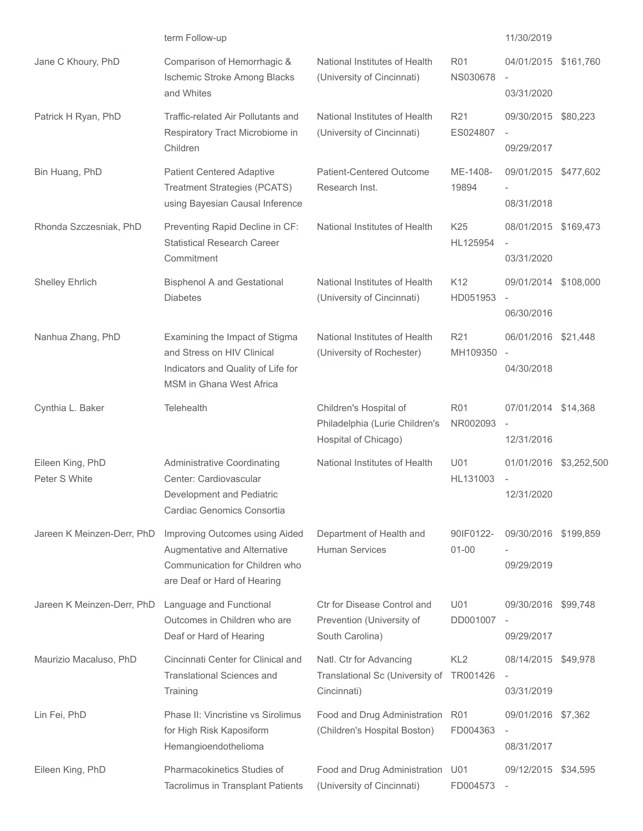|                                   | term Follow-up                                                                                                                        |                                                                                  |                               | 11/30/2019                                                     |           |
|-----------------------------------|---------------------------------------------------------------------------------------------------------------------------------------|----------------------------------------------------------------------------------|-------------------------------|----------------------------------------------------------------|-----------|
| Jane C Khoury, PhD                | Comparison of Hemorrhagic &<br>Ischemic Stroke Among Blacks<br>and Whites                                                             | National Institutes of Health<br>(University of Cincinnati)                      | <b>R01</b><br><b>NS030678</b> | 04/01/2015<br>$\overline{\phantom{a}}$<br>03/31/2020           | \$161,760 |
| Patrick H Ryan, PhD               | Traffic-related Air Pollutants and<br>Respiratory Tract Microbiome in<br>Children                                                     | National Institutes of Health<br>(University of Cincinnati)                      | R <sub>21</sub><br>ES024807   | 09/30/2015 \$80,223<br>09/29/2017                              |           |
| Bin Huang, PhD                    | <b>Patient Centered Adaptive</b><br><b>Treatment Strategies (PCATS)</b><br>using Bayesian Causal Inference                            | Patient-Centered Outcome<br>Research Inst.                                       | ME-1408-<br>19894             | 09/01/2015 \$477,602<br>08/31/2018                             |           |
| Rhonda Szczesniak, PhD            | Preventing Rapid Decline in CF:<br><b>Statistical Research Career</b><br>Commitment                                                   | National Institutes of Health                                                    | K <sub>25</sub><br>HL125954   | 08/01/2015 \$169,473<br>$\overline{\phantom{a}}$<br>03/31/2020 |           |
| Shelley Ehrlich                   | <b>Bisphenol A and Gestational</b><br><b>Diabetes</b>                                                                                 | National Institutes of Health<br>(University of Cincinnati)                      | K <sub>12</sub><br>HD051953   | 09/01/2014 \$108,000<br>$\overline{\phantom{a}}$<br>06/30/2016 |           |
| Nanhua Zhang, PhD                 | Examining the Impact of Stigma<br>and Stress on HIV Clinical<br>Indicators and Quality of Life for<br><b>MSM</b> in Ghana West Africa | National Institutes of Health<br>(University of Rochester)                       | R <sub>21</sub><br>MH109350   | 06/01/2016 \$21,448<br>$\overline{\phantom{a}}$<br>04/30/2018  |           |
| Cynthia L. Baker                  | <b>Telehealth</b>                                                                                                                     | Children's Hospital of<br>Philadelphia (Lurie Children's<br>Hospital of Chicago) | <b>R01</b><br>NR002093        | 07/01/2014 \$14,368<br>$\overline{\phantom{a}}$<br>12/31/2016  |           |
| Eileen King, PhD<br>Peter S White | <b>Administrative Coordinating</b><br>Center: Cardiovascular<br>Development and Pediatric<br>Cardiac Genomics Consortia               | National Institutes of Health                                                    | U01<br>HL131003               | 01/01/2016 \$3,252,500<br>12/31/2020                           |           |
| Jareen K Meinzen-Derr, PhD        | Improving Outcomes using Aided<br>Augmentative and Alternative<br>Communication for Children who<br>are Deaf or Hard of Hearing       | Department of Health and<br><b>Human Services</b>                                | 90IF0122-<br>$01 - 00$        | 09/30/2016<br>09/29/2019                                       | \$199,859 |
| Jareen K Meinzen-Derr, PhD        | Language and Functional<br>Outcomes in Children who are<br>Deaf or Hard of Hearing                                                    | Ctr for Disease Control and<br>Prevention (University of<br>South Carolina)      | U01<br>DD001007               | 09/30/2016<br>$\overline{\phantom{a}}$<br>09/29/2017           | \$99,748  |
| Maurizio Macaluso, PhD            | Cincinnati Center for Clinical and<br><b>Translational Sciences and</b><br>Training                                                   | Natl. Ctr for Advancing<br>Translational Sc (University of<br>Cincinnati)        | KL <sub>2</sub><br>TR001426   | 08/14/2015<br>03/31/2019                                       | \$49,978  |
| Lin Fei, PhD                      | Phase II: Vincristine vs Sirolimus<br>for High Risk Kaposiform<br>Hemangioendothelioma                                                | Food and Drug Administration<br>(Children's Hospital Boston)                     | <b>R01</b><br>FD004363        | 09/01/2016 \$7,362<br>$\overline{\phantom{a}}$<br>08/31/2017   |           |
| Eileen King, PhD                  | Pharmacokinetics Studies of<br>Tacrolimus in Transplant Patients                                                                      | Food and Drug Administration<br>(University of Cincinnati)                       | U01<br>FD004573               | 09/12/2015 \$34,595                                            |           |